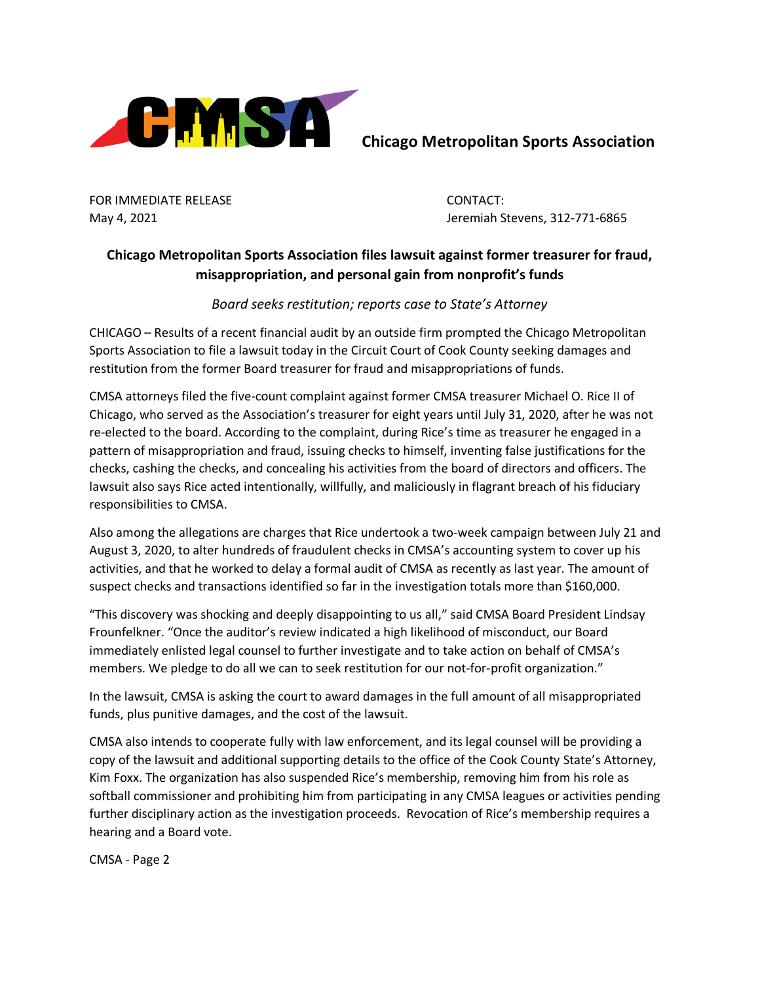

FOR IMMEDIATE RELEASE **CONTACT:** 

May 4, 2021 Jeremiah Stevens, 312-771-6865

## **Chicago Metropolitan Sports Association files lawsuit against former treasurer for fraud, misappropriation, and personal gain from nonprofit's funds**

*Board seeks restitution; reports case to State's Attorney*

CHICAGO – Results of a recent financial audit by an outside firm prompted the Chicago Metropolitan Sports Association to file a lawsuit today in the Circuit Court of Cook County seeking damages and restitution from the former Board treasurer for fraud and misappropriations of funds.

CMSA attorneys filed the five-count complaint against former CMSA treasurer Michael O. Rice II of Chicago, who served as the Association's treasurer for eight years until July 31, 2020, after he was not re-elected to the board. According to the complaint, during Rice's time as treasurer he engaged in a pattern of misappropriation and fraud, issuing checks to himself, inventing false justifications for the checks, cashing the checks, and concealing his activities from the board of directors and officers. The lawsuit also says Rice acted intentionally, willfully, and maliciously in flagrant breach of his fiduciary responsibilities to CMSA.

Also among the allegations are charges that Rice undertook a two-week campaign between July 21 and August 3, 2020, to alter hundreds of fraudulent checks in CMSA's accounting system to cover up his activities, and that he worked to delay a formal audit of CMSA as recently as last year. The amount of suspect checks and transactions identified so far in the investigation totals more than \$160,000.

"This discovery was shocking and deeply disappointing to us all," said CMSA Board President Lindsay Frounfelkner. "Once the auditor's review indicated a high likelihood of misconduct, our Board immediately enlisted legal counsel to further investigate and to take action on behalf of CMSA's members. We pledge to do all we can to seek restitution for our not-for-profit organization."

In the lawsuit, CMSA is asking the court to award damages in the full amount of all misappropriated funds, plus punitive damages, and the cost of the lawsuit.

CMSA also intends to cooperate fully with law enforcement, and its legal counsel will be providing a copy of the lawsuit and additional supporting details to the office of the Cook County State's Attorney, Kim Foxx. The organization has also suspended Rice's membership, removing him from his role as softball commissioner and prohibiting him from participating in any CMSA leagues or activities pending further disciplinary action as the investigation proceeds. Revocation of Rice's membership requires a hearing and a Board vote.

CMSA - Page 2